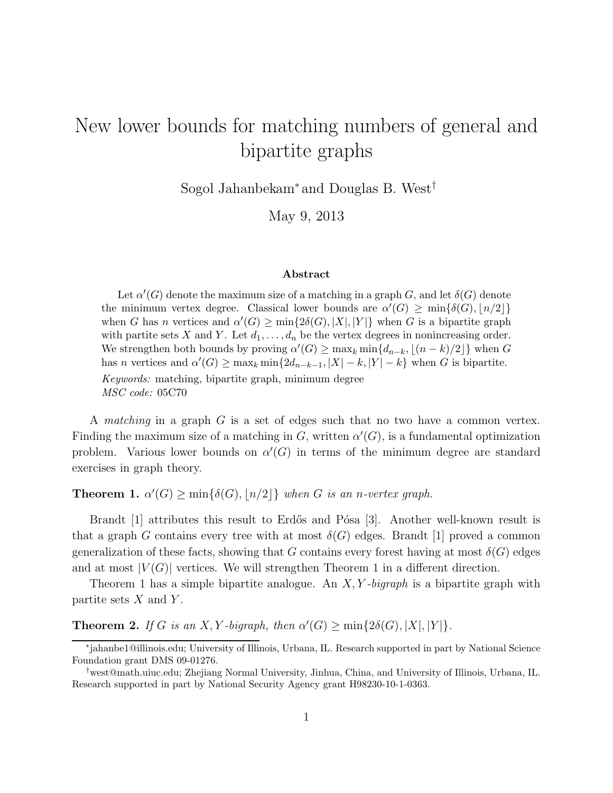## New lower bounds for matching numbers of general and bipartite graphs

Sogol Jahanbekam<sup>∗</sup> and Douglas B. West†

May 9, 2013

## Abstract

Let  $\alpha'(G)$  denote the maximum size of a matching in a graph G, and let  $\delta(G)$  denote the minimum vertex degree. Classical lower bounds are  $\alpha'(G) \ge \min\{\delta(G), \lfloor n/2 \rfloor\}$ when G has n vertices and  $\alpha'(G) \ge \min\{2\delta(G), |X|, |Y|\}$  when G is a bipartite graph with partite sets X and Y. Let  $d_1, \ldots, d_n$  be the vertex degrees in nonincreasing order. We strengthen both bounds by proving  $\alpha'(G) \ge \max_k \min\{d_{n-k}, |(n-k)/2|\}$  when G has n vertices and  $\alpha'(G) \ge \max_k \min\{2d_{n-k-1}, |X| - k, |Y| - k\}$  when G is bipartite. Keywords: matching, bipartite graph, minimum degree MSC code: 05C70

A *matching* in a graph G is a set of edges such that no two have a common vertex. Finding the maximum size of a matching in G, written  $\alpha'(G)$ , is a fundamental optimization problem. Various lower bounds on  $\alpha'(G)$  in terms of the minimum degree are standard exercises in graph theory.

**Theorem 1.**  $\alpha'(G) \ge \min\{\delta(G), \lfloor n/2 \rfloor\}$  when G is an n-vertex graph.

Brandt [1] attributes this result to Erdős and Pósa [3]. Another well-known result is that a graph G contains every tree with at most  $\delta(G)$  edges. Brandt [1] proved a common generalization of these facts, showing that G contains every forest having at most  $\delta(G)$  edges and at most  $|V(G)|$  vertices. We will strengthen Theorem 1 in a different direction.

Theorem 1 has a simple bipartite analogue. An  $X, Y$ -bigraph is a bipartite graph with partite sets  $X$  and  $Y$ .

**Theorem 2.** If G is an X, Y-bigraph, then  $\alpha'(G) \ge \min\{2\delta(G), |X|, |Y|\}.$ 

<sup>∗</sup> jahanbe1@illinois.edu; University of Illinois, Urbana, IL. Research supported in part by National Science Foundation grant DMS 09-01276.

<sup>†</sup>west@math.uiuc.edu; Zhejiang Normal University, Jinhua, China, and University of Illinois, Urbana, IL. Research supported in part by National Security Agency grant H98230-10-1-0363.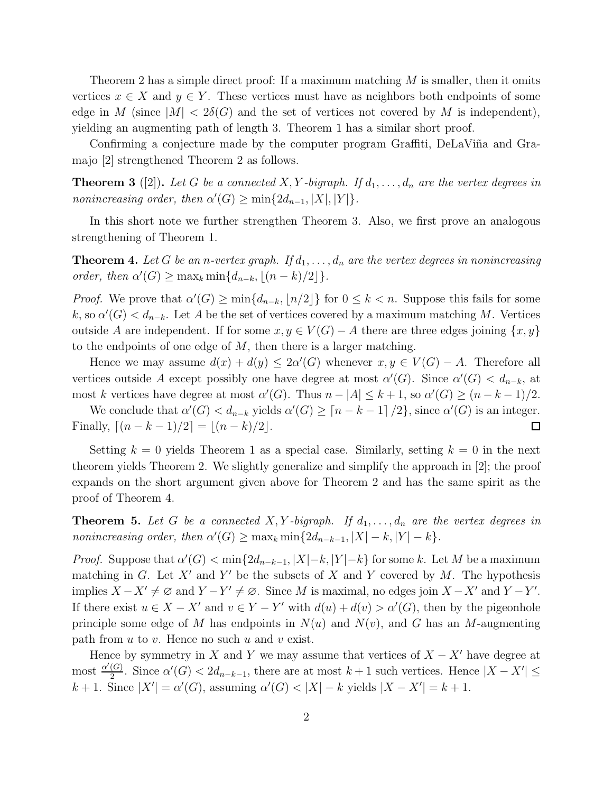Theorem 2 has a simple direct proof: If a maximum matching  $M$  is smaller, then it omits vertices  $x \in X$  and  $y \in Y$ . These vertices must have as neighbors both endpoints of some edge in M (since  $|M| < 2\delta(G)$  and the set of vertices not covered by M is independent), yielding an augmenting path of length 3. Theorem 1 has a similar short proof.

Confirming a conjecture made by the computer program Graffiti, DeLaViña and Gramajo [2] strengthened Theorem 2 as follows.

**Theorem 3** ([2]). Let G be a connected X, Y-bigraph. If  $d_1, \ldots, d_n$  are the vertex degrees in nonincreasing order, then  $\alpha'(G) \ge \min\{2d_{n-1}, |X|, |Y|\}.$ 

In this short note we further strengthen Theorem 3. Also, we first prove an analogous strengthening of Theorem 1.

**Theorem 4.** Let G be an n-vertex graph. If  $d_1, \ldots, d_n$  are the vertex degrees in nonincreasing order, then  $\alpha'(G) \ge \max_k \min\{d_{n-k}, \lfloor (n-k)/2 \rfloor\}.$ 

*Proof.* We prove that  $\alpha'(G) \ge \min\{d_{n-k}, \lfloor n/2 \rfloor\}$  for  $0 \le k < n$ . Suppose this fails for some k, so  $\alpha'(G) < d_{n-k}$ . Let A be the set of vertices covered by a maximum matching M. Vertices outside A are independent. If for some  $x, y \in V(G) - A$  there are three edges joining  $\{x, y\}$ to the endpoints of one edge of  $M$ , then there is a larger matching.

Hence we may assume  $d(x) + d(y) \leq 2\alpha'(G)$  whenever  $x, y \in V(G) - A$ . Therefore all vertices outside A except possibly one have degree at most  $\alpha'(G)$ . Since  $\alpha'(G) < d_{n-k}$ , at most k vertices have degree at most  $\alpha'(G)$ . Thus  $n - |A| \leq k + 1$ , so  $\alpha'(G) \geq (n - k - 1)/2$ .

We conclude that  $\alpha'(G) < d_{n-k}$  yields  $\alpha'(G) \geq [n-k-1]/2$ , since  $\alpha'(G)$  is an integer. Finally,  $[(n - k - 1)/2] = [(n - k)/2]$ .  $\Box$ 

Setting  $k = 0$  yields Theorem 1 as a special case. Similarly, setting  $k = 0$  in the next theorem yields Theorem 2. We slightly generalize and simplify the approach in [2]; the proof expands on the short argument given above for Theorem 2 and has the same spirit as the proof of Theorem 4.

**Theorem 5.** Let G be a connected X, Y-bigraph. If  $d_1, \ldots, d_n$  are the vertex degrees in nonincreasing order, then  $\alpha'(G) \ge \max_k \min\{2d_{n-k-1}, |X| - k, |Y| - k\}.$ 

*Proof.* Suppose that  $\alpha'(G) < \min\{2d_{n-k-1}, |X|-k, |Y|-k\}$  for some k. Let M be a maximum matching in G. Let  $X'$  and Y' be the subsets of X and Y covered by M. The hypothesis implies  $X - X' \neq \emptyset$  and  $Y - Y' \neq \emptyset$ . Since M is maximal, no edges join  $X - X'$  and  $Y - Y'$ . If there exist  $u \in X - X'$  and  $v \in Y - Y'$  with  $d(u) + d(v) > \alpha'(G)$ , then by the pigeonhole principle some edge of M has endpoints in  $N(u)$  and  $N(v)$ , and G has an M-augmenting path from  $u$  to  $v$ . Hence no such  $u$  and  $v$  exist.

Hence by symmetry in X and Y we may assume that vertices of  $X - X'$  have degree at most  $\frac{\alpha'(G)}{2}$  $\frac{(G)}{2}$ . Since  $\alpha'(G) < 2d_{n-k-1}$ , there are at most  $k+1$  such vertices. Hence  $|X - X'| \le$  $k+1$ . Since  $|X'| = \alpha'(G)$ , assuming  $\alpha'(G) < |X| - k$  yields  $|X - X'| = k + 1$ .